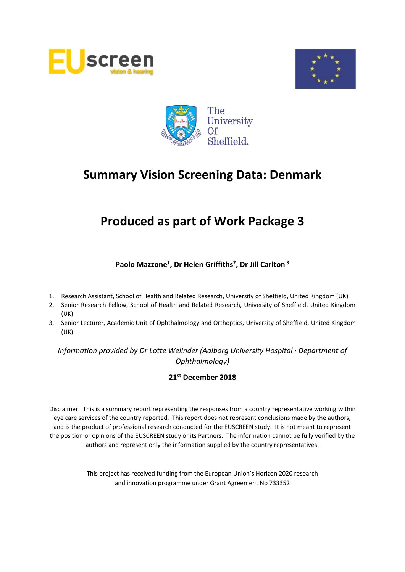





# **Produced as part of Work Package 3**

# **Paolo Mazzone<sup>1</sup> , Dr Helen Griffiths<sup>2</sup> , Dr Jill Carlton <sup>3</sup>**

- 1. Research Assistant, School of Health and Related Research, University of Sheffield, United Kingdom (UK)
- 2. Senior Research Fellow, School of Health and Related Research, University of Sheffield, United Kingdom (UK)
- 3. Senior Lecturer, Academic Unit of Ophthalmology and Orthoptics, University of Sheffield, United Kingdom (UK)

*Information provided by Dr Lotte Welinder (Aalborg University Hospital · Department of Ophthalmology)*

## **21st December 2018**

Disclaimer: This is a summary report representing the responses from a country representative working within eye care services of the country reported. This report does not represent conclusions made by the authors, and is the product of professional research conducted for the EUSCREEN study. It is not meant to represent the position or opinions of the EUSCREEN study or its Partners. The information cannot be fully verified by the authors and represent only the information supplied by the country representatives.

> This project has received funding from the European Union's Horizon 2020 research and innovation programme under Grant Agreement No 733352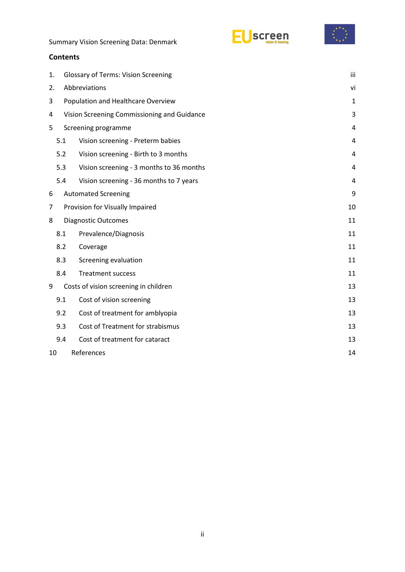



## **Contents**

| 1. | <b>Glossary of Terms: Vision Screening</b>  |                                          | iii |  |  |
|----|---------------------------------------------|------------------------------------------|-----|--|--|
| 2. | Abbreviations                               |                                          |     |  |  |
| 3  | Population and Healthcare Overview          |                                          |     |  |  |
| 4  | Vision Screening Commissioning and Guidance |                                          |     |  |  |
| 5  |                                             | Screening programme                      | 4   |  |  |
|    | 5.1                                         | Vision screening - Preterm babies        | 4   |  |  |
|    | 5.2                                         | Vision screening - Birth to 3 months     | 4   |  |  |
|    | 5.3                                         | Vision screening - 3 months to 36 months | 4   |  |  |
|    | 5.4                                         | Vision screening - 36 months to 7 years  | 4   |  |  |
| 6  |                                             | <b>Automated Screening</b>               |     |  |  |
| 7  |                                             | Provision for Visually Impaired          |     |  |  |
| 8  |                                             | <b>Diagnostic Outcomes</b>               | 11  |  |  |
|    | 8.1                                         | Prevalence/Diagnosis                     | 11  |  |  |
|    | 8.2                                         | Coverage                                 | 11  |  |  |
|    | 8.3                                         | Screening evaluation                     | 11  |  |  |
|    | 8.4                                         | <b>Treatment success</b>                 | 11  |  |  |
| 9  |                                             | Costs of vision screening in children    | 13  |  |  |
|    | 9.1                                         | Cost of vision screening                 | 13  |  |  |
|    | 9.2                                         | Cost of treatment for amblyopia          | 13  |  |  |
|    | 9.3                                         | Cost of Treatment for strabismus         | 13  |  |  |
|    | 9.4                                         | Cost of treatment for cataract           | 13  |  |  |
|    | References<br>10<br>14                      |                                          |     |  |  |
|    |                                             |                                          |     |  |  |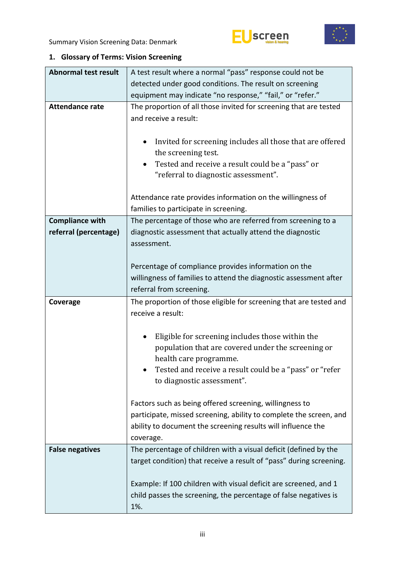



# <span id="page-2-0"></span>**1. Glossary of Terms: Vision Screening**

| <b>Abnormal test result</b> | A test result where a normal "pass" response could not be                             |  |  |  |
|-----------------------------|---------------------------------------------------------------------------------------|--|--|--|
|                             | detected under good conditions. The result on screening                               |  |  |  |
|                             | equipment may indicate "no response," "fail," or "refer."                             |  |  |  |
| <b>Attendance rate</b>      | The proportion of all those invited for screening that are tested                     |  |  |  |
|                             | and receive a result:                                                                 |  |  |  |
|                             |                                                                                       |  |  |  |
|                             | Invited for screening includes all those that are offered<br>٠<br>the screening test. |  |  |  |
|                             | Tested and receive a result could be a "pass" or<br>٠                                 |  |  |  |
|                             | "referral to diagnostic assessment".                                                  |  |  |  |
|                             | Attendance rate provides information on the willingness of                            |  |  |  |
|                             | families to participate in screening.                                                 |  |  |  |
| <b>Compliance with</b>      | The percentage of those who are referred from screening to a                          |  |  |  |
| referral (percentage)       | diagnostic assessment that actually attend the diagnostic                             |  |  |  |
|                             | assessment.                                                                           |  |  |  |
|                             |                                                                                       |  |  |  |
|                             | Percentage of compliance provides information on the                                  |  |  |  |
|                             | willingness of families to attend the diagnostic assessment after                     |  |  |  |
|                             | referral from screening.                                                              |  |  |  |
|                             |                                                                                       |  |  |  |
| Coverage                    | The proportion of those eligible for screening that are tested and                    |  |  |  |
|                             | receive a result:                                                                     |  |  |  |
|                             |                                                                                       |  |  |  |
|                             | Eligible for screening includes those within the                                      |  |  |  |
|                             | population that are covered under the screening or                                    |  |  |  |
|                             | health care programme.                                                                |  |  |  |
|                             | Tested and receive a result could be a "pass" or "refer                               |  |  |  |
|                             | to diagnostic assessment".                                                            |  |  |  |
|                             |                                                                                       |  |  |  |
|                             | Factors such as being offered screening, willingness to                               |  |  |  |
|                             | participate, missed screening, ability to complete the screen, and                    |  |  |  |
|                             | ability to document the screening results will influence the<br>coverage.             |  |  |  |
| <b>False negatives</b>      | The percentage of children with a visual deficit (defined by the                      |  |  |  |
|                             | target condition) that receive a result of "pass" during screening.                   |  |  |  |
|                             |                                                                                       |  |  |  |
|                             | Example: If 100 children with visual deficit are screened, and 1                      |  |  |  |
|                             | child passes the screening, the percentage of false negatives is                      |  |  |  |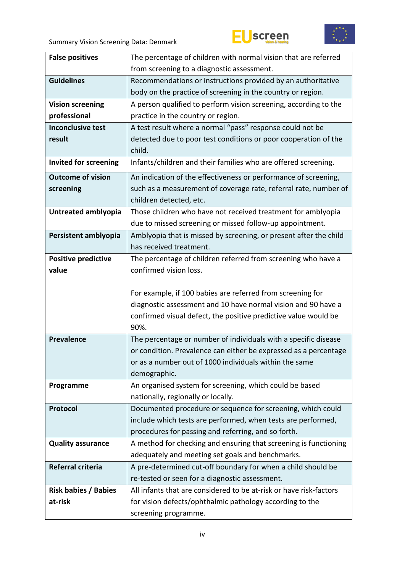





| <b>False positives</b>       | The percentage of children with normal vision that are referred    |  |  |
|------------------------------|--------------------------------------------------------------------|--|--|
|                              | from screening to a diagnostic assessment.                         |  |  |
| <b>Guidelines</b>            | Recommendations or instructions provided by an authoritative       |  |  |
|                              | body on the practice of screening in the country or region.        |  |  |
| <b>Vision screening</b>      | A person qualified to perform vision screening, according to the   |  |  |
| professional                 | practice in the country or region.                                 |  |  |
| <b>Inconclusive test</b>     | A test result where a normal "pass" response could not be          |  |  |
| result                       | detected due to poor test conditions or poor cooperation of the    |  |  |
|                              | child.                                                             |  |  |
| <b>Invited for screening</b> | Infants/children and their families who are offered screening.     |  |  |
| <b>Outcome of vision</b>     | An indication of the effectiveness or performance of screening,    |  |  |
| screening                    | such as a measurement of coverage rate, referral rate, number of   |  |  |
|                              | children detected, etc.                                            |  |  |
| Untreated amblyopia          | Those children who have not received treatment for amblyopia       |  |  |
|                              | due to missed screening or missed follow-up appointment.           |  |  |
| Persistent amblyopia         | Amblyopia that is missed by screening, or present after the child  |  |  |
|                              | has received treatment.                                            |  |  |
| <b>Positive predictive</b>   | The percentage of children referred from screening who have a      |  |  |
| value                        | confirmed vision loss.                                             |  |  |
|                              |                                                                    |  |  |
|                              |                                                                    |  |  |
|                              | For example, if 100 babies are referred from screening for         |  |  |
|                              | diagnostic assessment and 10 have normal vision and 90 have a      |  |  |
|                              | confirmed visual defect, the positive predictive value would be    |  |  |
|                              | 90%.                                                               |  |  |
| <b>Prevalence</b>            | The percentage or number of individuals with a specific disease    |  |  |
|                              | or condition. Prevalence can either be expressed as a percentage   |  |  |
|                              | or as a number out of 1000 individuals within the same             |  |  |
|                              | demographic.                                                       |  |  |
| Programme                    | An organised system for screening, which could be based            |  |  |
|                              | nationally, regionally or locally.                                 |  |  |
| Protocol                     | Documented procedure or sequence for screening, which could        |  |  |
|                              | include which tests are performed, when tests are performed,       |  |  |
|                              | procedures for passing and referring, and so forth.                |  |  |
| <b>Quality assurance</b>     | A method for checking and ensuring that screening is functioning   |  |  |
|                              | adequately and meeting set goals and benchmarks.                   |  |  |
| Referral criteria            | A pre-determined cut-off boundary for when a child should be       |  |  |
|                              | re-tested or seen for a diagnostic assessment.                     |  |  |
| <b>Risk babies / Babies</b>  | All infants that are considered to be at-risk or have risk-factors |  |  |
| at-risk                      | for vision defects/ophthalmic pathology according to the           |  |  |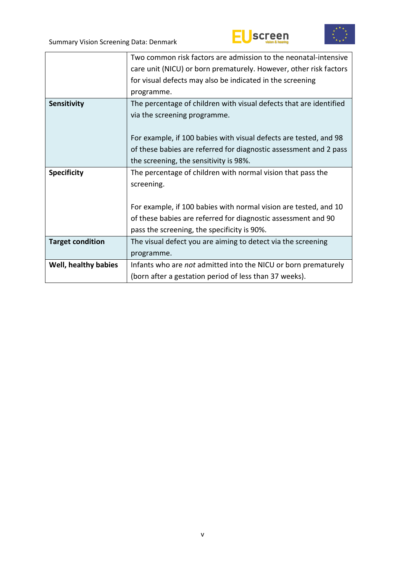





|                         | Two common risk factors are admission to the neonatal-intensive    |  |  |
|-------------------------|--------------------------------------------------------------------|--|--|
|                         | care unit (NICU) or born prematurely. However, other risk factors  |  |  |
|                         | for visual defects may also be indicated in the screening          |  |  |
|                         | programme.                                                         |  |  |
| Sensitivity             | The percentage of children with visual defects that are identified |  |  |
|                         | via the screening programme.                                       |  |  |
|                         |                                                                    |  |  |
|                         | For example, if 100 babies with visual defects are tested, and 98  |  |  |
|                         | of these babies are referred for diagnostic assessment and 2 pass  |  |  |
|                         | the screening, the sensitivity is 98%.                             |  |  |
| <b>Specificity</b>      | The percentage of children with normal vision that pass the        |  |  |
|                         | screening.                                                         |  |  |
|                         |                                                                    |  |  |
|                         | For example, if 100 babies with normal vision are tested, and 10   |  |  |
|                         | of these babies are referred for diagnostic assessment and 90      |  |  |
|                         | pass the screening, the specificity is 90%.                        |  |  |
| <b>Target condition</b> | The visual defect you are aiming to detect via the screening       |  |  |
|                         | programme.                                                         |  |  |
| Well, healthy babies    | Infants who are not admitted into the NICU or born prematurely     |  |  |
|                         | (born after a gestation period of less than 37 weeks).             |  |  |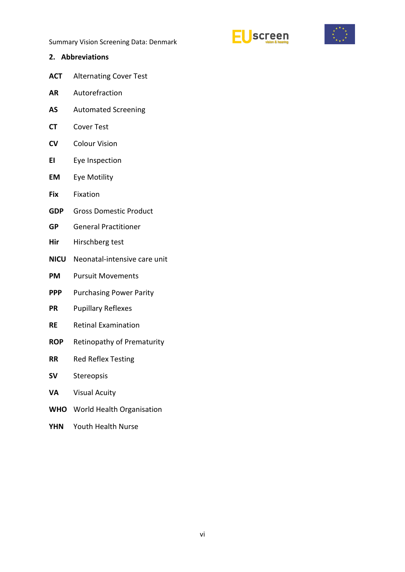



- <span id="page-5-0"></span>**2. Abbreviations**
- **ACT** Alternating Cover Test
- **AR** Autorefraction
- **AS** Automated Screening
- **CT** Cover Test
- **CV** Colour Vision
- **EI** Eye Inspection
- **EM** Eye Motility
- **Fix** Fixation
- **GDP** Gross Domestic Product
- **GP** General Practitioner
- **Hir** Hirschberg test
- **NICU** Neonatal-intensive care unit
- **PM** Pursuit Movements
- **PPP** Purchasing Power Parity
- **PR** Pupillary Reflexes
- **RE** Retinal Examination
- **ROP** Retinopathy of Prematurity
- **RR** Red Reflex Testing
- **SV** Stereopsis
- **VA** Visual Acuity
- **WHO** World Health Organisation
- **YHN** Youth Health Nurse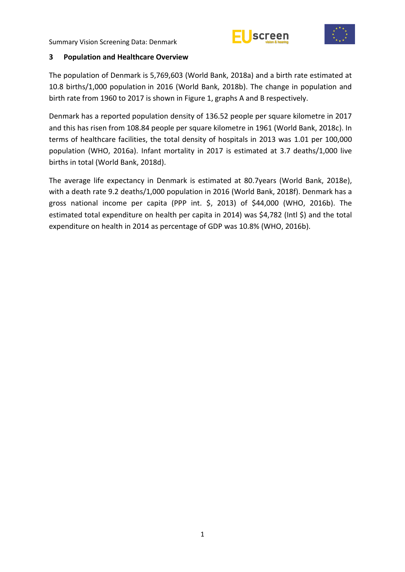



### <span id="page-6-0"></span>**3 Population and Healthcare Overview**

The population of Denmark is 5,769,603 (World Bank, 2018a) and a birth rate estimated at 10.8 births/1,000 population in 2016 (World Bank, 2018b). The change in population and birth rate from 1960 to 2017 is shown in Figure 1, graphs A and B respectively.

Denmark has a reported population density of 136.52 people per square kilometre in 2017 and this has risen from 108.84 people per square kilometre in 1961 (World Bank, 2018c). In terms of healthcare facilities, the total density of hospitals in 2013 was 1.01 per 100,000 population (WHO, 2016a). Infant mortality in 2017 is estimated at 3.7 deaths/1,000 live births in total (World Bank, 2018d).

The average life expectancy in Denmark is estimated at 80.7years (World Bank, 2018e), with a death rate 9.2 deaths/1,000 population in 2016 (World Bank, 2018f). Denmark has a gross national income per capita (PPP int. \$, 2013) of \$44,000 (WHO, 2016b). The estimated total expenditure on health per capita in 2014) was \$4,782 (Intl \$) and the total expenditure on health in 2014 as percentage of GDP was 10.8% (WHO, 2016b).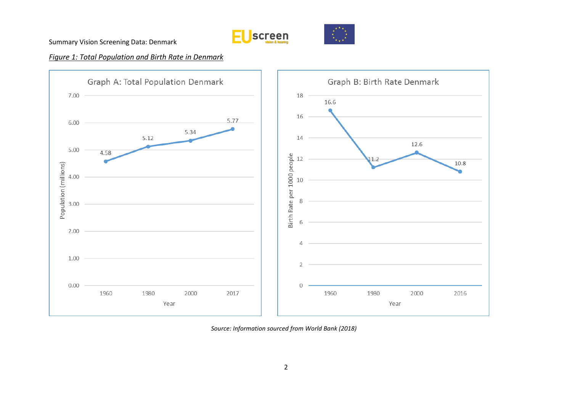





## *Figure 1: Total Population and Birth Rate in Denmark*



*Source: Information sourced from World Bank (2018)*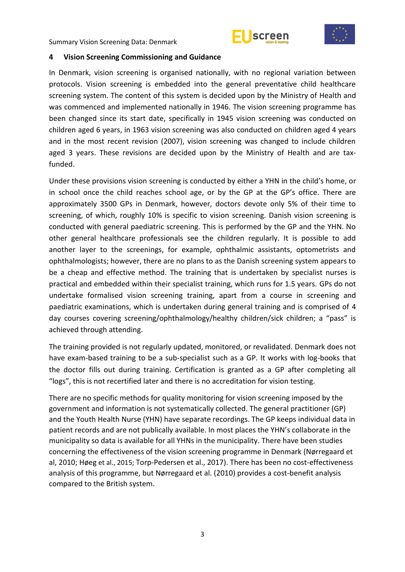



#### <span id="page-8-0"></span>**4 Vision Screening Commissioning and Guidance**

In Denmark, vision screening is organised nationally, with no regional variation between protocols. Vision screening is embedded into the general preventative child healthcare screening system. The content of this system is decided upon by the Ministry of Health and was commenced and implemented nationally in 1946. The vision screening programme has been changed since its start date, specifically in 1945 vision screening was conducted on children aged 6 years, in 1963 vision screening was also conducted on children aged 4 years and in the most recent revision (2007), vision screening was changed to include children aged 3 years. These revisions are decided upon by the Ministry of Health and are taxfunded.

Under these provisions vision screening is conducted by either a YHN in the child's home, or in school once the child reaches school age, or by the GP at the GP's office. There are approximately 3500 GPs in Denmark, however, doctors devote only 5% of their time to screening, of which, roughly 10% is specific to vision screening. Danish vision screening is conducted with general paediatric screening. This is performed by the GP and the YHN. No other general healthcare professionals see the children regularly. It is possible to add another layer to the screenings, for example, ophthalmic assistants, optometrists and ophthalmologists; however, there are no plans to as the Danish screening system appears to be a cheap and effective method. The training that is undertaken by specialist nurses is practical and embedded within their specialist training, which runs for 1.5 years. GPs do not undertake formalised vision screening training, apart from a course in screening and paediatric examinations, which is undertaken during general training and is comprised of 4 day courses covering screening/ophthalmology/healthy children/sick children; a "pass" is achieved through attending.

The training provided is not regularly updated, monitored, or revalidated. Denmark does not have exam-based training to be a sub-specialist such as a GP. It works with log-books that the doctor fills out during training. Certification is granted as a GP after completing all "logs", this is not recertified later and there is no accreditation for vision testing.

There are no specific methods for quality monitoring for vision screening imposed by the government and information is not systematically collected. The general practitioner (GP) and the Youth Health Nurse (YHN) have separate recordings. The GP keeps individual data in patient records and are not publically available. In most places the YHN's collaborate in the municipality so data is available for all YHNs in the municipality. There have been studies concerning the effectiveness of the vision screening programme in Denmark (Nørregaard et al, 2010; Høeg et al., 2015; Torp-Pedersen et al., 2017). There has been no cost-effectiveness analysis of this programme, but Nørregaard et al. (2010) provides a cost-benefit analysis compared to the British system.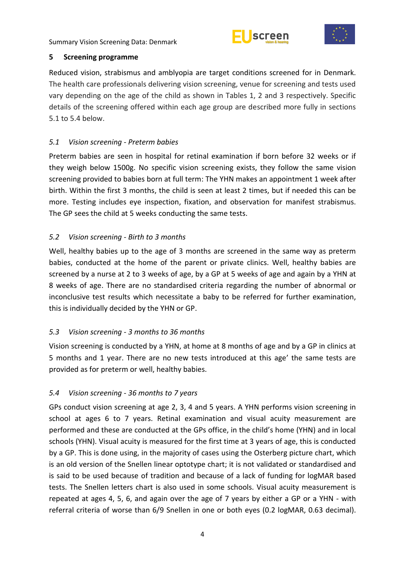



#### <span id="page-9-0"></span>**5 Screening programme**

Reduced vision, strabismus and amblyopia are target conditions screened for in Denmark. The health care professionals delivering vision screening, venue for screening and tests used vary depending on the age of the child as shown in Tables 1, 2 and 3 respectively. Specific details of the screening offered within each age group are described more fully in sections 5.1 to 5.4 below.

## <span id="page-9-1"></span>*5.1 Vision screening - Preterm babies*

Preterm babies are seen in hospital for retinal examination if born before 32 weeks or if they weigh below 1500g. No specific vision screening exists, they follow the same vision screening provided to babies born at full term: The YHN makes an appointment 1 week after birth. Within the first 3 months, the child is seen at least 2 times, but if needed this can be more. Testing includes eye inspection, fixation, and observation for manifest strabismus. The GP sees the child at 5 weeks conducting the same tests.

## <span id="page-9-2"></span>*5.2 Vision screening - Birth to 3 months*

Well, healthy babies up to the age of 3 months are screened in the same way as preterm babies, conducted at the home of the parent or private clinics. Well, healthy babies are screened by a nurse at 2 to 3 weeks of age, by a GP at 5 weeks of age and again by a YHN at 8 weeks of age. There are no standardised criteria regarding the number of abnormal or inconclusive test results which necessitate a baby to be referred for further examination, this is individually decided by the YHN or GP.

## <span id="page-9-3"></span>*5.3 Vision screening - 3 months to 36 months*

Vision screening is conducted by a YHN, at home at 8 months of age and by a GP in clinics at 5 months and 1 year. There are no new tests introduced at this age' the same tests are provided as for preterm or well, healthy babies.

# <span id="page-9-4"></span>*5.4 Vision screening - 36 months to 7 years*

GPs conduct vision screening at age 2, 3, 4 and 5 years. A YHN performs vision screening in school at ages 6 to 7 years. Retinal examination and visual acuity measurement are performed and these are conducted at the GPs office, in the child's home (YHN) and in local schools (YHN). Visual acuity is measured for the first time at 3 years of age, this is conducted by a GP. This is done using, in the majority of cases using the Osterberg picture chart, which is an old version of the Snellen linear optotype chart; it is not validated or standardised and is said to be used because of tradition and because of a lack of funding for logMAR based tests. The Snellen letters chart is also used in some schools. Visual acuity measurement is repeated at ages 4, 5, 6, and again over the age of 7 years by either a GP or a YHN - with referral criteria of worse than 6/9 Snellen in one or both eyes (0.2 logMAR, 0.63 decimal).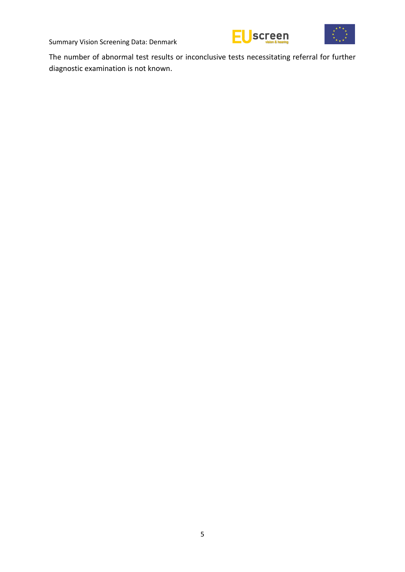



The number of abnormal test results or inconclusive tests necessitating referral for further diagnostic examination is not known.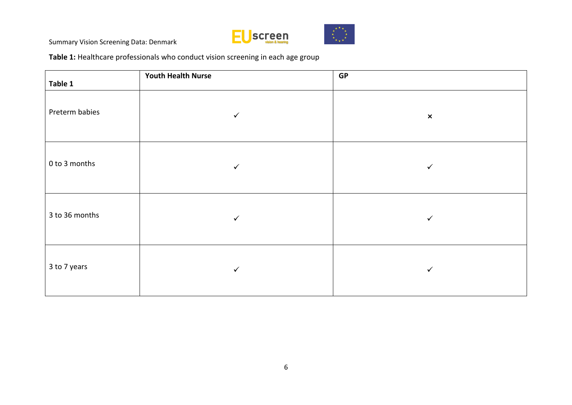



**Table 1:** Healthcare professionals who conduct vision screening in each age group

| Table 1        | <b>Youth Health Nurse</b> | <b>GP</b>      |
|----------------|---------------------------|----------------|
| Preterm babies | ✓                         | $\pmb{\times}$ |
| 0 to 3 months  | $\checkmark$              | $\checkmark$   |
| 3 to 36 months | $\checkmark$              | $\checkmark$   |
| 3 to 7 years   | $\checkmark$              | ✓              |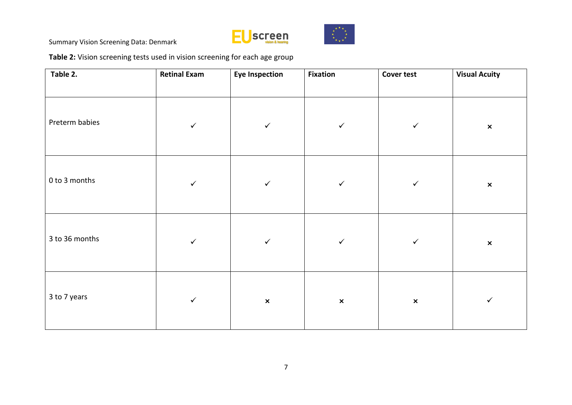



**Table 2:** Vision screening tests used in vision screening for each age group

| Table 2.       | <b>Retinal Exam</b> | <b>Eye Inspection</b> | <b>Fixation</b> | <b>Cover test</b> | <b>Visual Acuity</b>      |
|----------------|---------------------|-----------------------|-----------------|-------------------|---------------------------|
| Preterm babies | $\checkmark$        | $\checkmark$          | $\checkmark$    | $\checkmark$      | $\pmb{\times}$            |
| 0 to 3 months  | $\checkmark$        | $\checkmark$          | $\checkmark$    | $\checkmark$      | $\boldsymbol{\mathsf{x}}$ |
| 3 to 36 months | $\checkmark$        | $\checkmark$          | $\checkmark$    | $\checkmark$      | $\pmb{\times}$            |
| 3 to 7 years   | $\checkmark$        | $\pmb{\times}$        | $\pmb{\times}$  | $\pmb{\times}$    | $\checkmark$              |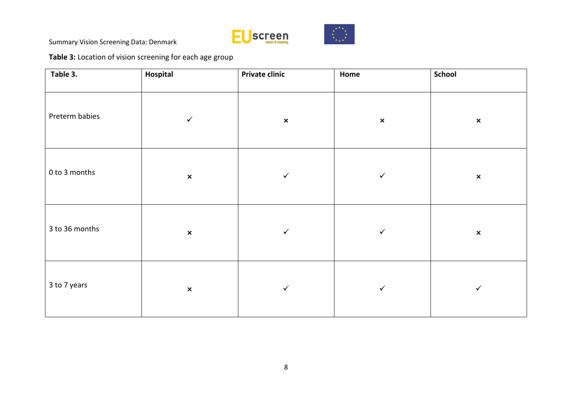



**Table 3:** Location of vision screening for each age group

| Table 3.       | Hospital       | <b>Private clinic</b> | Home           | School         |
|----------------|----------------|-----------------------|----------------|----------------|
| Preterm babies | $\checkmark$   | $\pmb{\times}$        | $\pmb{\times}$ | $\pmb{\times}$ |
| 0 to 3 months  | $\pmb{\times}$ | $\checkmark$          | $\checkmark$   | $\pmb{\times}$ |
| 3 to 36 months | $\pmb{\times}$ | $\checkmark$          | $\checkmark$   | $\pmb{\times}$ |
| 3 to 7 years   | $\pmb{\times}$ | $\checkmark$          | $\checkmark$   | $\checkmark$   |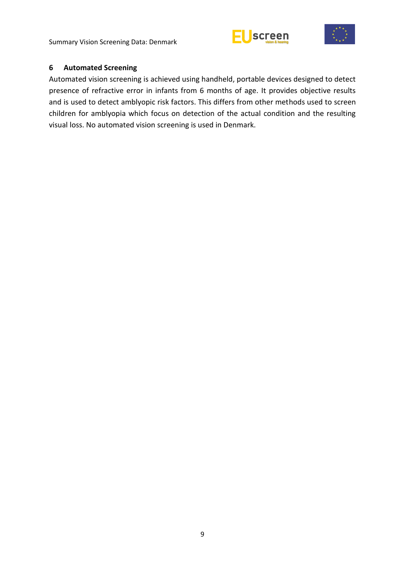





#### <span id="page-14-0"></span>**6 Automated Screening**

Automated vision screening is achieved using handheld, portable devices designed to detect presence of refractive error in infants from 6 months of age. It provides objective results and is used to detect amblyopic risk factors. This differs from other methods used to screen children for amblyopia which focus on detection of the actual condition and the resulting visual loss. No automated vision screening is used in Denmark.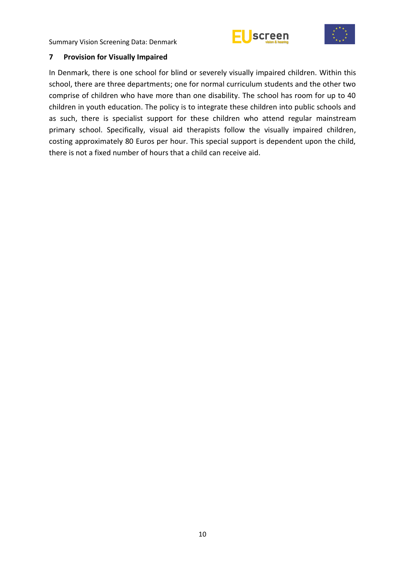



## <span id="page-15-0"></span>**7 Provision for Visually Impaired**

In Denmark, there is one school for blind or severely visually impaired children. Within this school, there are three departments; one for normal curriculum students and the other two comprise of children who have more than one disability. The school has room for up to 40 children in youth education. The policy is to integrate these children into public schools and as such, there is specialist support for these children who attend regular mainstream primary school. Specifically, visual aid therapists follow the visually impaired children, costing approximately 80 Euros per hour. This special support is dependent upon the child, there is not a fixed number of hours that a child can receive aid.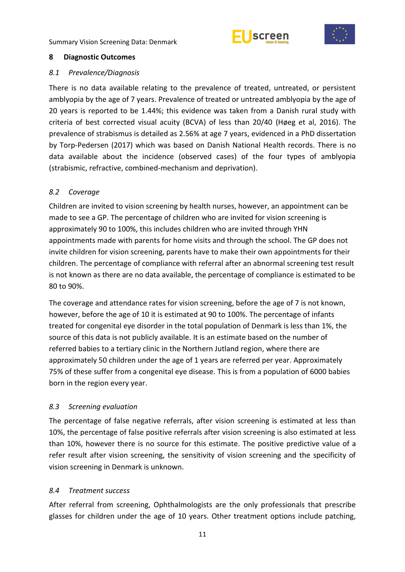



#### <span id="page-16-0"></span>**8 Diagnostic Outcomes**

#### <span id="page-16-1"></span>*8.1 Prevalence/Diagnosis*

There is no data available relating to the prevalence of treated, untreated, or persistent amblyopia by the age of 7 years. Prevalence of treated or untreated amblyopia by the age of 20 years is reported to be 1.44%; this evidence was taken from a Danish rural study with criteria of best corrected visual acuity (BCVA) of less than 20/40 (Høeg et al, 2016). The prevalence of strabismus is detailed as 2.56% at age 7 years, evidenced in a PhD dissertation by Torp-Pedersen (2017) which was based on Danish National Health records. There is no data available about the incidence (observed cases) of the four types of amblyopia (strabismic, refractive, combined-mechanism and deprivation).

## <span id="page-16-2"></span>*8.2 Coverage*

Children are invited to vision screening by health nurses, however, an appointment can be made to see a GP. The percentage of children who are invited for vision screening is approximately 90 to 100%, this includes children who are invited through YHN appointments made with parents for home visits and through the school. The GP does not invite children for vision screening, parents have to make their own appointments for their children. The percentage of compliance with referral after an abnormal screening test result is not known as there are no data available, the percentage of compliance is estimated to be 80 to 90%.

The coverage and attendance rates for vision screening, before the age of 7 is not known, however, before the age of 10 it is estimated at 90 to 100%. The percentage of infants treated for congenital eye disorder in the total population of Denmark is less than 1%, the source of this data is not publicly available. It is an estimate based on the number of referred babies to a tertiary clinic in the Northern Jutland region, where there are approximately 50 children under the age of 1 years are referred per year. Approximately 75% of these suffer from a congenital eye disease. This is from a population of 6000 babies born in the region every year.

## <span id="page-16-3"></span>*8.3 Screening evaluation*

The percentage of false negative referrals, after vision screening is estimated at less than 10%, the percentage of false positive referrals after vision screening is also estimated at less than 10%, however there is no source for this estimate. The positive predictive value of a refer result after vision screening, the sensitivity of vision screening and the specificity of vision screening in Denmark is unknown.

## <span id="page-16-4"></span>*8.4 Treatment success*

After referral from screening, Ophthalmologists are the only professionals that prescribe glasses for children under the age of 10 years. Other treatment options include patching,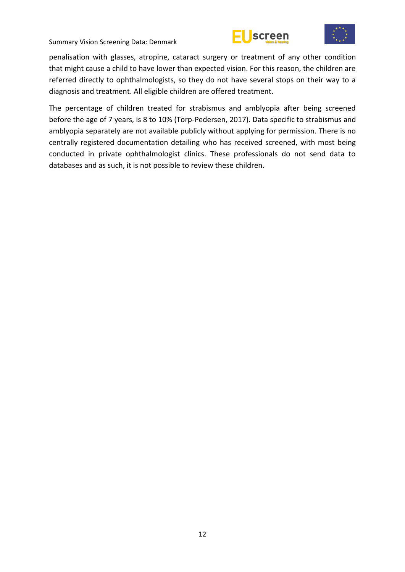





penalisation with glasses, atropine, cataract surgery or treatment of any other condition that might cause a child to have lower than expected vision. For this reason, the children are referred directly to ophthalmologists, so they do not have several stops on their way to a diagnosis and treatment. All eligible children are offered treatment.

The percentage of children treated for strabismus and amblyopia after being screened before the age of 7 years, is 8 to 10% (Torp-Pedersen, 2017). Data specific to strabismus and amblyopia separately are not available publicly without applying for permission. There is no centrally registered documentation detailing who has received screened, with most being conducted in private ophthalmologist clinics. These professionals do not send data to databases and as such, it is not possible to review these children.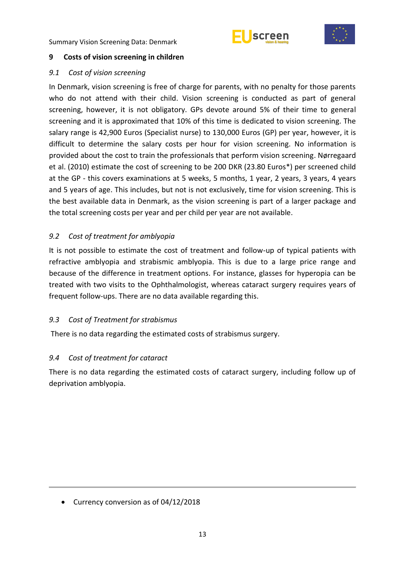



## <span id="page-18-0"></span>**9 Costs of vision screening in children**

## <span id="page-18-1"></span>*9.1 Cost of vision screening*

In Denmark, vision screening is free of charge for parents, with no penalty for those parents who do not attend with their child. Vision screening is conducted as part of general screening, however, it is not obligatory. GPs devote around 5% of their time to general screening and it is approximated that 10% of this time is dedicated to vision screening. The salary range is 42,900 Euros (Specialist nurse) to 130,000 Euros (GP) per year, however, it is difficult to determine the salary costs per hour for vision screening. No information is provided about the cost to train the professionals that perform vision screening. Nørregaard et al. (2010) estimate the cost of screening to be 200 DKR (23.80 Euros\*) per screened child at the GP - this covers examinations at 5 weeks, 5 months, 1 year, 2 years, 3 years, 4 years and 5 years of age. This includes, but not is not exclusively, time for vision screening. This is the best available data in Denmark, as the vision screening is part of a larger package and the total screening costs per year and per child per year are not available.

## <span id="page-18-2"></span>*9.2 Cost of treatment for amblyopia*

It is not possible to estimate the cost of treatment and follow-up of typical patients with refractive amblyopia and strabismic amblyopia. This is due to a large price range and because of the difference in treatment options. For instance, glasses for hyperopia can be treated with two visits to the Ophthalmologist, whereas cataract surgery requires years of frequent follow-ups. There are no data available regarding this.

## <span id="page-18-3"></span>*9.3 Cost of Treatment for strabismus*

There is no data regarding the estimated costs of strabismus surgery.

## <span id="page-18-4"></span>*9.4 Cost of treatment for cataract*

There is no data regarding the estimated costs of cataract surgery, including follow up of deprivation amblyopia.

• Currency conversion as of 04/12/2018